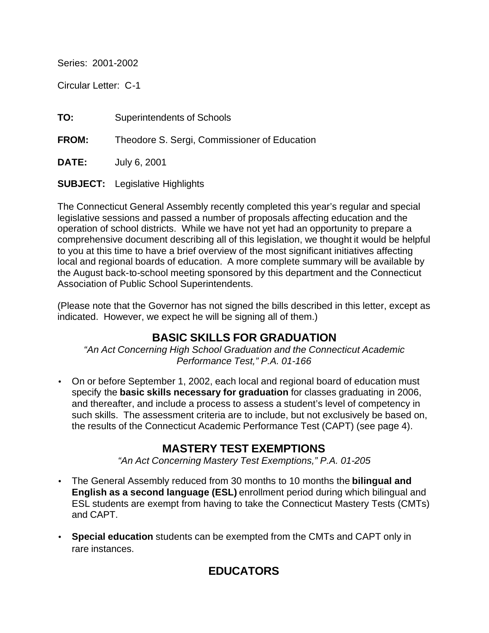Series: 2001-2002

Circular Letter: C-1

**TO:** Superintendents of Schools

**FROM:** Theodore S. Sergi, Commissioner of Education

**DATE:** July 6, 2001

**SUBJECT:** Legislative Highlights

The Connecticut General Assembly recently completed this year's regular and special legislative sessions and passed a number of proposals affecting education and the operation of school districts. While we have not yet had an opportunity to prepare a comprehensive document describing all of this legislation, we thought it would be helpful to you at this time to have a brief overview of the most significant initiatives affecting local and regional boards of education. A more complete summary will be available by the August back-to-school meeting sponsored by this department and the Connecticut Association of Public School Superintendents.

(Please note that the Governor has not signed the bills described in this letter, except as indicated. However, we expect he will be signing all of them.)

# **BASIC SKILLS FOR GRADUATION**

*"An Act Concerning High School Graduation and the Connecticut Academic Performance Test," P.A. 01-166*

• On or before September 1, 2002, each local and regional board of education must specify the **basic skills necessary for graduation** for classes graduating in 2006, and thereafter, and include a process to assess a student's level of competency in such skills. The assessment criteria are to include, but not exclusively be based on, the results of the Connecticut Academic Performance Test (CAPT) (see page 4).

## **MASTERY TEST EXEMPTIONS**

*"An Act Concerning Mastery Test Exemptions," P.A. 01-205* 

- The General Assembly reduced from 30 months to 10 months the **bilingual and English as a second language (ESL)** enrollment period during which bilingual and ESL students are exempt from having to take the Connecticut Mastery Tests (CMTs) and CAPT.
- **Special education** students can be exempted from the CMTs and CAPT only in rare instances.

# **EDUCATORS**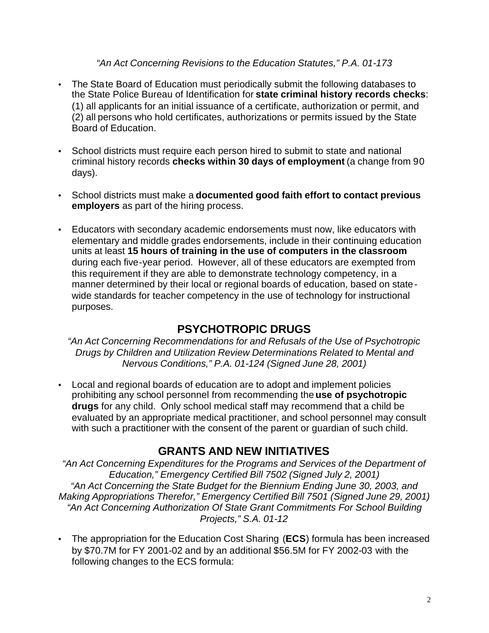#### *"An Act Concerning Revisions to the Education Statutes," P.A. 01-173*

- The State Board of Education must periodically submit the following databases to the State Police Bureau of Identification for **state criminal history records checks**: (1) all applicants for an initial issuance of a certificate, authorization or permit, and (2) all persons who hold certificates, authorizations or permits issued by the State Board of Education.
- School districts must require each person hired to submit to state and national criminal history records **checks within 30 days of employment** (a change from 90 days).
- School districts must make a **documented good faith effort to contact previous employers** as part of the hiring process.
- Educators with secondary academic endorsements must now, like educators with elementary and middle grades endorsements, include in their continuing education units at least **15 hours of training in the use of computers in the classroom**  during each five-year period. However, all of these educators are exempted from this requirement if they are able to demonstrate technology competency, in a manner determined by their local or regional boards of education, based on statewide standards for teacher competency in the use of technology for instructional purposes.

## **PSYCHOTROPIC DRUGS**

*"An Act Concerning Recommendations for and Refusals of the Use of Psychotropic Drugs by Children and Utilization Review Determinations Related to Mental and Nervous Conditions," P.A. 01-124 (Signed June 28, 2001)* 

• Local and regional boards of education are to adopt and implement policies prohibiting any school personnel from recommending the **use of psychotropic drugs** for any child. Only school medical staff may recommend that a child be evaluated by an appropriate medical practitioner, and school personnel may consult with such a practitioner with the consent of the parent or guardian of such child.

## **GRANTS AND NEW INITIATIVES**

*"An Act Concerning Expenditures for the Programs and Services of the Department of Education," Emergency Certified Bill 7502 (Signed July 2, 2001) "An Act Concerning the State Budget for the Biennium Ending June 30, 2003, and Making Appropriations Therefor," Emergency Certified Bill 7501 (Signed June 29, 2001) "An Act Concerning Authorization Of State Grant Commitments For School Building Projects," S.A. 01-12*

• The appropriation for the Education Cost Sharing (**ECS**) formula has been increased by \$70.7M for FY 2001-02 and by an additional \$56.5M for FY 2002-03 with the following changes to the ECS formula: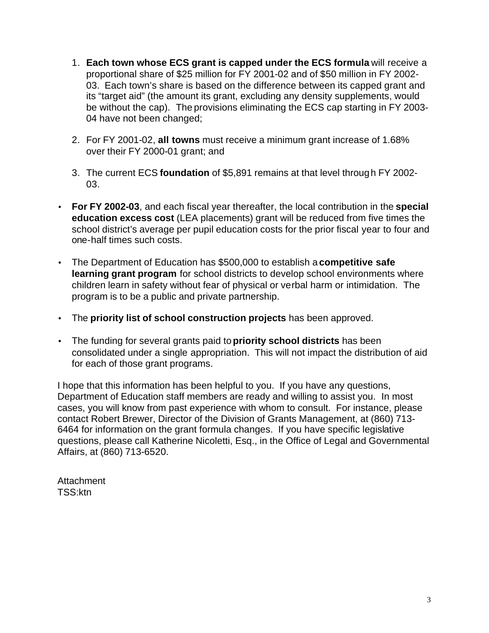- 1. **Each town whose ECS grant is capped under the ECS formula** will receive a proportional share of \$25 million for FY 2001-02 and of \$50 million in FY 2002- 03. Each town's share is based on the difference between its capped grant and its "target aid" (the amount its grant, excluding any density supplements, would be without the cap). The provisions eliminating the ECS cap starting in FY 2003- 04 have not been changed;
- 2. For FY 2001-02, **all towns** must receive a minimum grant increase of 1.68% over their FY 2000-01 grant; and
- 3. The current ECS **foundation** of \$5,891 remains at that level through FY 2002- 03.
- **For FY 2002-03**, and each fiscal year thereafter, the local contribution in the **special education excess cost** (LEA placements) grant will be reduced from five times the school district's average per pupil education costs for the prior fiscal year to four and one-half times such costs.
- The Department of Education has \$500,000 to establish a **competitive safe learning grant program** for school districts to develop school environments where children learn in safety without fear of physical or verbal harm or intimidation. The program is to be a public and private partnership.
- The **priority list of school construction projects** has been approved.
- The funding for several grants paid to **priority school districts** has been consolidated under a single appropriation. This will not impact the distribution of aid for each of those grant programs.

I hope that this information has been helpful to you. If you have any questions, Department of Education staff members are ready and willing to assist you. In most cases, you will know from past experience with whom to consult. For instance, please contact Robert Brewer, Director of the Division of Grants Management, at (860) 713- 6464 for information on the grant formula changes. If you have specific legislative questions, please call Katherine Nicoletti, Esq., in the Office of Legal and Governmental Affairs, at (860) 713-6520.

Attachment TSS:ktn